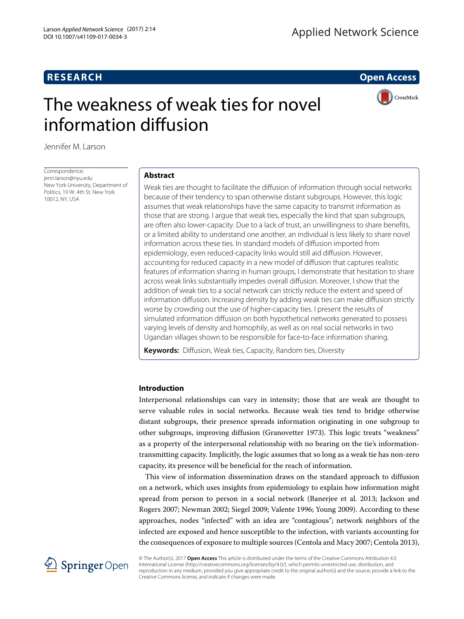# **RESEARCH Open Access**

# The weakness of weak ties for novel information diffusion



Jennifer M. Larson

Correspondence: [jenn.larson@nyu.edu](mailto: jenn.larson@nyu.edu) New York University, Department of Politics, 19 W. 4th St. New York 10012, NY, USA

## **Abstract**

Weak ties are thought to facilitate the diffusion of information through social networks because of their tendency to span otherwise distant subgroups. However, this logic assumes that weak relationships have the same capacity to transmit information as those that are strong. I argue that weak ties, especially the kind that span subgroups, are often also lower-capacity. Due to a lack of trust, an unwillingness to share benefits, or a limited ability to understand one another, an individual is less likely to share novel information across these ties. In standard models of diffusion imported from epidemiology, even reduced-capacity links would still aid diffusion. However, accounting for reduced capacity in a new model of diffusion that captures realistic features of information sharing in human groups, I demonstrate that hesitation to share across weak links substantially impedes overall diffusion. Moreover, I show that the addition of weak ties to a social network can strictly reduce the extent and speed of information diffusion. Increasing density by adding weak ties can make diffusion strictly worse by crowding out the use of higher-capacity ties. I present the results of simulated information diffusion on both hypothetical networks generated to possess varying levels of density and homophily, as well as on real social networks in two Ugandan villages shown to be responsible for face-to-face information sharing.

**Keywords:** Diffusion, Weak ties, Capacity, Random ties, Diversity

## **Introduction**

Interpersonal relationships can vary in intensity; those that are weak are thought to serve valuable roles in social networks. Because weak ties tend to bridge otherwise distant subgroups, their presence spreads information originating in one subgroup to other subgroups, improving diffusion (Granovetter [1973\)](#page-13-0). This logic treats "weakness" as a property of the interpersonal relationship with no bearing on the tie's informationtransmitting capacity. Implicitly, the logic assumes that so long as a weak tie has non-zero capacity, its presence will be beneficial for the reach of information.

This view of information dissemination draws on the standard approach to diffusion on a network, which uses insights from epidemiology to explain how information might spread from person to person in a social network (Banerjee et al. [2013;](#page-13-1) Jackson and Rogers [2007;](#page-13-2) Newman [2002;](#page-14-0) Siegel [2009;](#page-14-1) Valente [1996;](#page-14-2) Young [2009\)](#page-14-3). According to these approaches, nodes "infected" with an idea are "contagious"; network neighbors of the infected are exposed and hence susceptible to the infection, with variants accounting for the consequences of exposure to multiple sources (Centola and Macy [2007;](#page-13-3) Centola [2013\)](#page-13-4),



© The Author(s). 2017 **Open Access** This article is distributed under the terms of the Creative Commons Attribution 4.0 International License [\(http://creativecommons.org/licenses/by/4.0/\)](http://creativecommons.org/licenses/by/4.0/), which permits unrestricted use, distribution, and reproduction in any medium, provided you give appropriate credit to the original author(s) and the source, provide a link to the Creative Commons license, and indicate if changes were made.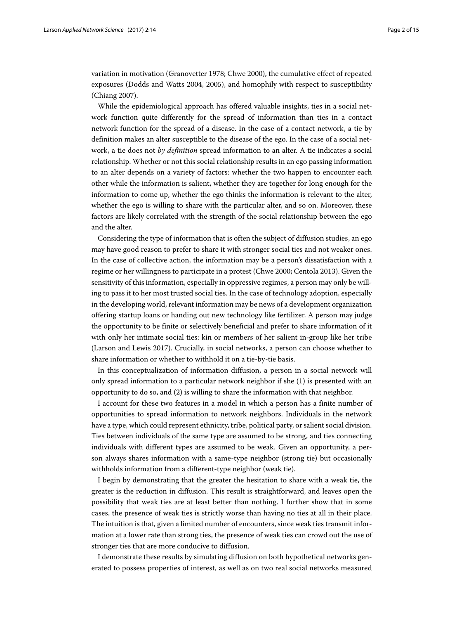variation in motivation (Granovetter [1978;](#page-13-5) Chwe [2000\)](#page-13-6), the cumulative effect of repeated exposures (Dodds and Watts [2004,](#page-13-7) [2005\)](#page-13-8), and homophily with respect to susceptibility (Chiang [2007\)](#page-13-9).

While the epidemiological approach has offered valuable insights, ties in a social network function quite differently for the spread of information than ties in a contact network function for the spread of a disease. In the case of a contact network, a tie by definition makes an alter susceptible to the disease of the ego. In the case of a social network, a tie does not *by definition* spread information to an alter. A tie indicates a social relationship. Whether or not this social relationship results in an ego passing information to an alter depends on a variety of factors: whether the two happen to encounter each other while the information is salient, whether they are together for long enough for the information to come up, whether the ego thinks the information is relevant to the alter, whether the ego is willing to share with the particular alter, and so on. Moreover, these factors are likely correlated with the strength of the social relationship between the ego and the alter.

Considering the type of information that is often the subject of diffusion studies, an ego may have good reason to prefer to share it with stronger social ties and not weaker ones. In the case of collective action, the information may be a person's dissatisfaction with a regime or her willingness to participate in a protest (Chwe [2000;](#page-13-6) Centola [2013\)](#page-13-4). Given the sensitivity of this information, especially in oppressive regimes, a person may only be willing to pass it to her most trusted social ties. In the case of technology adoption, especially in the developing world, relevant information may be news of a development organization offering startup loans or handing out new technology like fertilizer. A person may judge the opportunity to be finite or selectively beneficial and prefer to share information of it with only her intimate social ties: kin or members of her salient in-group like her tribe (Larson and Lewis [2017\)](#page-13-10). Crucially, in social networks, a person can choose whether to share information or whether to withhold it on a tie-by-tie basis.

In this conceptualization of information diffusion, a person in a social network will only spread information to a particular network neighbor if she (1) is presented with an opportunity to do so, and (2) is willing to share the information with that neighbor.

I account for these two features in a model in which a person has a finite number of opportunities to spread information to network neighbors. Individuals in the network have a type, which could represent ethnicity, tribe, political party, or salient social division. Ties between individuals of the same type are assumed to be strong, and ties connecting individuals with different types are assumed to be weak. Given an opportunity, a person always shares information with a same-type neighbor (strong tie) but occasionally withholds information from a different-type neighbor (weak tie).

I begin by demonstrating that the greater the hesitation to share with a weak tie, the greater is the reduction in diffusion. This result is straightforward, and leaves open the possibility that weak ties are at least better than nothing. I further show that in some cases, the presence of weak ties is strictly worse than having no ties at all in their place. The intuition is that, given a limited number of encounters, since weak ties transmit information at a lower rate than strong ties, the presence of weak ties can crowd out the use of stronger ties that are more conducive to diffusion.

I demonstrate these results by simulating diffusion on both hypothetical networks generated to possess properties of interest, as well as on two real social networks measured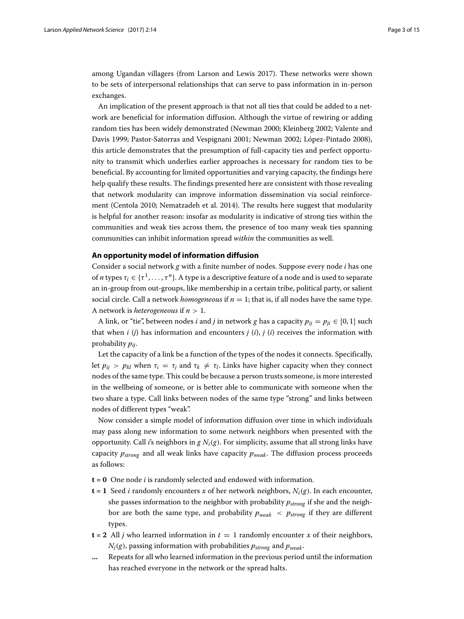among Ugandan villagers (from Larson and Lewis [2017\)](#page-13-10). These networks were shown to be sets of interpersonal relationships that can serve to pass information in in-person exchanges.

An implication of the present approach is that not all ties that could be added to a network are beneficial for information diffusion. Although the virtue of rewiring or adding random ties has been widely demonstrated (Newman [2000;](#page-14-4) Kleinberg [2002;](#page-13-11) Valente and Davis [1999;](#page-14-5) Pastor-Satorras and Vespignani [2001;](#page-14-6) Newman [2002;](#page-14-0) López-Pintado [2008\)](#page-14-7), this article demonstrates that the presumption of full-capacity ties and perfect opportunity to transmit which underlies earlier approaches is necessary for random ties to be beneficial. By accounting for limited opportunities and varying capacity, the findings here help qualify these results. The findings presented here are consistent with those revealing that network modularity can improve information dissemination via social reinforcement (Centola [2010;](#page-13-12) Nematzadeh et al. [2014\)](#page-14-8). The results here suggest that modularity is helpful for another reason: insofar as modularity is indicative of strong ties within the communities and weak ties across them, the presence of too many weak ties spanning communities can inhibit information spread *within* the communities as well.

#### **An opportunity model of information diffusion**

Consider a social network *g* with a finite number of nodes. Suppose every node *i* has one of *n* types  $\tau_i \in \{\tau^1, \ldots, \tau^n\}$ . A type is a descriptive feature of a node and is used to separate an in-group from out-groups, like membership in a certain tribe, political party, or salient social circle. Call a network *homogeneous* if *n* = 1; that is, if all nodes have the same type. A network is *heterogeneous* if *n* > 1.

A link, or "tie", between nodes *i* and *j* in network *g* has a capacity  $p_{ii} = p_{ii} \in [0, 1]$  such that when  $i$  ( $j$ ) has information and encounters  $j$  ( $i$ ),  $j$  ( $i$ ) receives the information with probability *pij*.

Let the capacity of a link be a function of the types of the nodes it connects. Specifically, let  $p_{ij} > p_{kl}$  when  $\tau_i = \tau_j$  and  $\tau_k \neq \tau_l$ . Links have higher capacity when they connect nodes of the same type. This could be because a person trusts someone, is more interested in the wellbeing of someone, or is better able to communicate with someone when the two share a type. Call links between nodes of the same type "strong" and links between nodes of different types "weak".

Now consider a simple model of information diffusion over time in which individuals may pass along new information to some network neighbors when presented with the opportunity. Call *i*'s neighbors in *g Ni*(*g*). For simplicity, assume that all strong links have capacity *pstrong* and all weak links have capacity *pweak*. The diffusion process proceeds as follows:

- **t=0** One node *i* is randomly selected and endowed with information.
- **t** = 1 Seed *i* randomly encounters *x* of her network neighbors,  $N_i(g)$ . In each encounter, she passes information to the neighbor with probability *pstrong* if she and the neighbor are both the same type, and probability  $p_{weak} < p_{strong}$  if they are different types.
- $t = 2$  All *j* who learned information in  $t = 1$  randomly encounter *x* of their neighbors,  $N_i(g)$ , passing information with probabilities  $p_{strong}$  and  $p_{weak}$ .
- **...** Repeats for all who learned information in the previous period until the information has reached everyone in the network or the spread halts.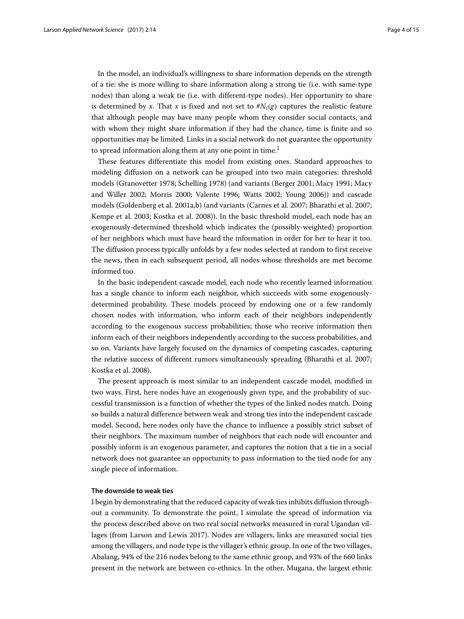In the model, an individual's willingness to share information depends on the strength of a tie: she is more willing to share information along a strong tie (i.e. with same-type nodes) than along a weak tie (i.e. with different-type nodes). Her opportunity to share is determined by x. That x is fixed and not set to  $\#N_i(g)$  captures the realistic feature that although people may have many people whom they consider social contacts, and with whom they might share information if they had the chance, time is finite and so opportunities may be limited. Links in a social network do not guarantee the opportunity to spread information along them at any one point in time.<sup>1</sup>

These features differentiate this model from existing ones. Standard approaches to modeling diffusion on a network can be grouped into two main categories: threshold models (Granovetter [1978;](#page-13-5) Schelling [1978\)](#page-14-9) (and variants (Berger [2001;](#page-13-13) Macy [1991;](#page-14-10) Macy and Willer [2002;](#page-14-11) Morris [2000;](#page-14-12) Valente [1996;](#page-14-2) Watts [2002;](#page-14-13) Young [2006\)](#page-14-14)) and cascade models (Goldenberg et al. [2001a,](#page-13-14)[b\)](#page-13-15) (and variants (Carnes et al. [2007;](#page-13-16) Bharathi et al. [2007;](#page-13-17) Kempe et al. [2003;](#page-13-18) Kostka et al. [2008\)](#page-13-19)). In the basic threshold model, each node has an exogenously-determined threshold which indicates the (possibly-weighted) proportion of her neighbors which must have heard the information in order for her to hear it too. The diffusion process typically unfolds by a few nodes selected at random to first receive the news, then in each subsequent period, all nodes whose thresholds are met become informed too.

In the basic independent cascade model, each node who recently learned information has a single chance to inform each neighbor, which succeeds with some exogenouslydetermined probability. These models proceed by endowing one or a few randomly chosen nodes with information, who inform each of their neighbors independently according to the exogenous success probabilities; those who receive information then inform each of their neighbors independently according to the success probabilities, and so on. Variants have largely focused on the dynamics of competing cascades, capturing the relative success of different rumors simultaneously spreading (Bharathi et al. [2007;](#page-13-17) Kostka et al. [2008\)](#page-13-19).

The present approach is most similar to an independent cascade model, modified in two ways. First, here nodes have an exogenously given type, and the probability of successful transmission is a function of whether the types of the linked nodes match. Doing so builds a natural difference between weak and strong ties into the independent cascade model. Second, here nodes only have the chance to influence a possibly strict subset of their neighbors. The maximum number of neighbors that each node will encounter and possibly inform is an exogenous parameter, and captures the notion that a tie in a social network does not guarantee an opportunity to pass information to the tied node for any single piece of information.

#### **The downside to weak ties**

I begin by demonstrating that the reduced capacity of weak ties inhibits diffusion throughout a community. To demonstrate the point, I simulate the spread of information via the process described above on two real social networks measured in rural Ugandan villages (from Larson and Lewis [2017\)](#page-13-10). Nodes are villagers, links are measured social ties among the villagers, and node type is the villager's ethnic group. In one of the two villages, Abalang, 94% of the 216 nodes belong to the same ethnic group, and 93% of the 660 links present in the network are between co-ethnics. In the other, Mugana, the largest ethnic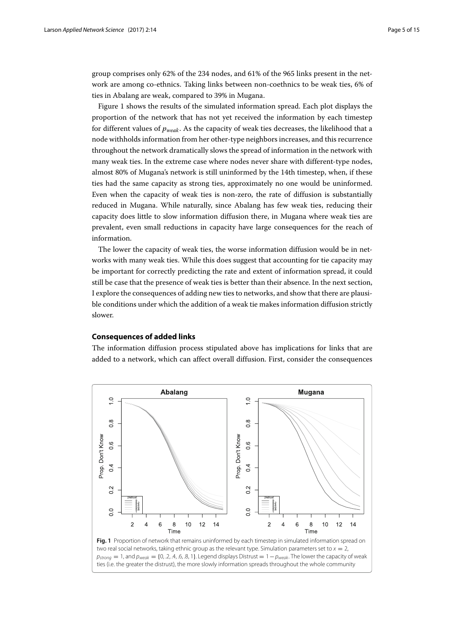group comprises only 62% of the 234 nodes, and 61% of the 965 links present in the network are among co-ethnics. Taking links between non-coethnics to be weak ties, 6% of ties in Abalang are weak, compared to 39% in Mugana.

Figure [1](#page-4-0) shows the results of the simulated information spread. Each plot displays the proportion of the network that has not yet received the information by each timestep for different values of  $p_{weak}$ . As the capacity of weak ties decreases, the likelihood that a node withholds information from her other-type neighbors increases, and this recurrence throughout the network dramatically slows the spread of information in the network with many weak ties. In the extreme case where nodes never share with different-type nodes, almost 80% of Mugana's network is still uninformed by the 14th timestep, when, if these ties had the same capacity as strong ties, approximately no one would be uninformed. Even when the capacity of weak ties is non-zero, the rate of diffusion is substantially reduced in Mugana. While naturally, since Abalang has few weak ties, reducing their capacity does little to slow information diffusion there, in Mugana where weak ties are prevalent, even small reductions in capacity have large consequences for the reach of information.

The lower the capacity of weak ties, the worse information diffusion would be in networks with many weak ties. While this does suggest that accounting for tie capacity may be important for correctly predicting the rate and extent of information spread, it could still be case that the presence of weak ties is better than their absence. In the next section, I explore the consequences of adding new ties to networks, and show that there are plausible conditions under which the addition of a weak tie makes information diffusion strictly slower.

## <span id="page-4-1"></span>**Consequences of added links**

The information diffusion process stipulated above has implications for links that are added to a network, which can affect overall diffusion. First, consider the consequences

<span id="page-4-0"></span>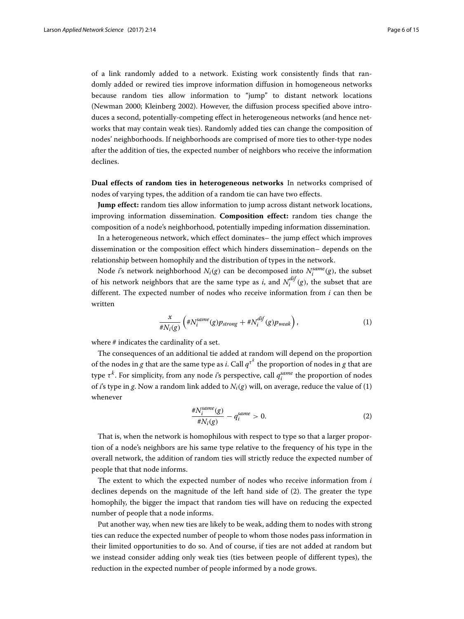of a link randomly added to a network. Existing work consistently finds that randomly added or rewired ties improve information diffusion in homogeneous networks because random ties allow information to "jump" to distant network locations (Newman [2000;](#page-14-4) Kleinberg [2002\)](#page-13-11). However, the diffusion process specified above introduces a second, potentially-competing effect in heterogeneous networks (and hence networks that may contain weak ties). Randomly added ties can change the composition of nodes' neighborhoods. If neighborhoods are comprised of more ties to other-type nodes after the addition of ties, the expected number of neighbors who receive the information declines.

**Dual effects of random ties in heterogeneous networks** In networks comprised of nodes of varying types, the addition of a random tie can have two effects.

**Jump effect:** random ties allow information to jump across distant network locations, improving information dissemination. **Composition effect:** random ties change the composition of a node's neighborhood, potentially impeding information dissemination.

In a heterogeneous network, which effect dominates– the jump effect which improves dissemination or the composition effect which hinders dissemination– depends on the relationship between homophily and the distribution of types in the network.

Node *i*'s network neighborhood  $N_i(g)$  can be decomposed into  $N_i^{same}(g)$ , the subset of his network neighbors that are the same type as *i*, and  $N_i^{dif}(g)$ , the subset that are different. The expected number of nodes who receive information from *i* can then be written

<span id="page-5-0"></span>
$$
\frac{x}{\#N_i(g)}\left(\#N_i^{same}(g)p_{strong} + \#N_i^{dif}(g)p_{weak}\right),\tag{1}
$$

where # indicates the cardinality of a set.

The consequences of an additional tie added at random will depend on the proportion of the nodes in  $g$  that are the same type as  $i.$  Call  $q^{\tau^k}$  the proportion of nodes in  $g$  that are type  $\tau^k$ . For simplicity, from any node *i*'s perspective, call  $q_i^{same}$  the proportion of nodes of *i*'s type in *g*. Now a random link added to *Ni*(*g*) will, on average, reduce the value of [\(1\)](#page-5-0) whenever

<span id="page-5-1"></span>
$$
\frac{\#N_i^{same}(g)}{\#N_i(g)} - q_i^{same} > 0.
$$
\n(2)

That is, when the network is homophilous with respect to type so that a larger proportion of a node's neighbors are his same type relative to the frequency of his type in the overall network, the addition of random ties will strictly reduce the expected number of people that that node informs.

The extent to which the expected number of nodes who receive information from *i* declines depends on the magnitude of the left hand side of [\(2\)](#page-5-1). The greater the type homophily, the bigger the impact that random ties will have on reducing the expected number of people that a node informs.

Put another way, when new ties are likely to be weak, adding them to nodes with strong ties can reduce the expected number of people to whom those nodes pass information in their limited opportunities to do so. And of course, if ties are not added at random but we instead consider adding only weak ties (ties between people of different types), the reduction in the expected number of people informed by a node grows.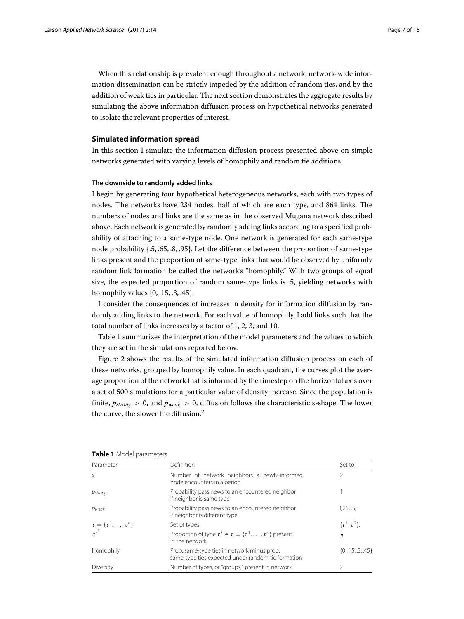When this relationship is prevalent enough throughout a network, network-wide information dissemination can be strictly impeded by the addition of random ties, and by the addition of weak ties in particular. The next section demonstrates the aggregate results by simulating the above information diffusion process on hypothetical networks generated to isolate the relevant properties of interest.

#### **Simulated information spread**

In this section I simulate the information diffusion process presented above on simple networks generated with varying levels of homophily and random tie additions.

### **The downside to randomly added links**

I begin by generating four hypothetical heterogeneous networks, each with two types of nodes. The networks have 234 nodes, half of which are each type, and 864 links. The numbers of nodes and links are the same as in the observed Mugana network described above. Each network is generated by randomly adding links according to a specified probability of attaching to a same-type node. One network is generated for each same-type node probability {.5, .65, .8, .95}. Let the difference between the proportion of same-type links present and the proportion of same-type links that would be observed by uniformly random link formation be called the network's "homophily." With two groups of equal size, the expected proportion of random same-type links is .5, yielding networks with homophily values {0, .15, .3, .45}.

I consider the consequences of increases in density for information diffusion by randomly adding links to the network. For each value of homophily, I add links such that the total number of links increases by a factor of 1, 2, 3, and 10.

Table [1](#page-6-0) summarizes the interpretation of the model parameters and the values to which they are set in the simulations reported below.

Figure [2](#page-7-0) shows the results of the simulated information diffusion process on each of these networks, grouped by homophily value. In each quadrant, the curves plot the average proportion of the network that is informed by the timestep on the horizontal axis over a set of 500 simulations for a particular value of density increase. Since the population is finite,  $p_{strong} > 0$ , and  $p_{weak} > 0$ , diffusion follows the characteristic s-shape. The lower the curve, the slower the diffusion.2

| Parameter                           | Definition                                                                                        | Set to                 |
|-------------------------------------|---------------------------------------------------------------------------------------------------|------------------------|
| $\times$                            | Number of network neighbors a newly-informed<br>node encounters in a period                       | C,                     |
| Pstrong                             | Probability pass news to an encountered neighbor<br>if neighbor is same type                      |                        |
| $p_{weak}$                          | Probability pass news to an encountered neighbor<br>if neighbor is different type                 | ${25, .5}$             |
| $\tau = \{\tau^1, \ldots, \tau^n\}$ | Set of types                                                                                      | $\{\tau^1, \tau^2\},\$ |
|                                     | Proportion of type $\tau^k \in \tau = {\tau^1, \ldots, \tau^n}$ present<br>in the network         |                        |
| Homophily                           | Prop. same-type ties in network minus prop.<br>same-type ties expected under random tie formation | $\{0, .15, .3, .45\}$  |
| Diversity                           | Number of types, or "groups," present in network                                                  | 2                      |

<span id="page-6-0"></span>

|  | Table 1 Model parameters |
|--|--------------------------|
|--|--------------------------|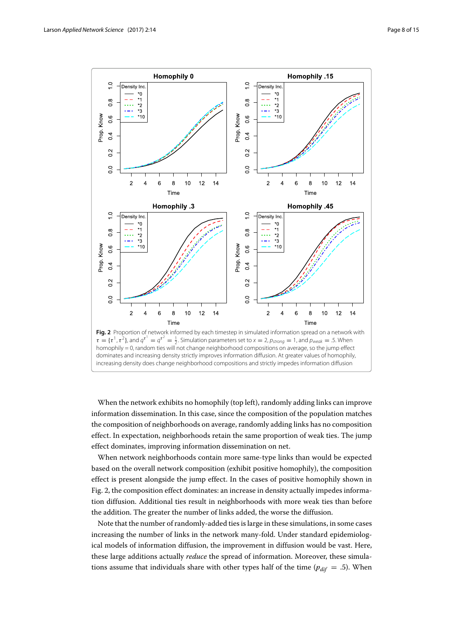

<span id="page-7-0"></span>When the network exhibits no homophily (top left), randomly adding links can improve information dissemination. In this case, since the composition of the population matches the composition of neighborhoods on average, randomly adding links has no composition effect. In expectation, neighborhoods retain the same proportion of weak ties. The jump effect dominates, improving information dissemination on net.

When network neighborhoods contain more same-type links than would be expected based on the overall network composition (exhibit positive homophily), the composition effect is present alongside the jump effect. In the cases of positive homophily shown in Fig. [2,](#page-7-0) the composition effect dominates: an increase in density actually impedes information diffusion. Additional ties result in neighborhoods with more weak ties than before the addition. The greater the number of links added, the worse the diffusion.

Note that the number of randomly-added ties is large in these simulations, in some cases increasing the number of links in the network many-fold. Under standard epidemiological models of information diffusion, the improvement in diffusion would be vast. Here, these large additions actually *reduce* the spread of information. Moreover, these simulations assume that individuals share with other types half of the time ( $p_{dif} = .5$ ). When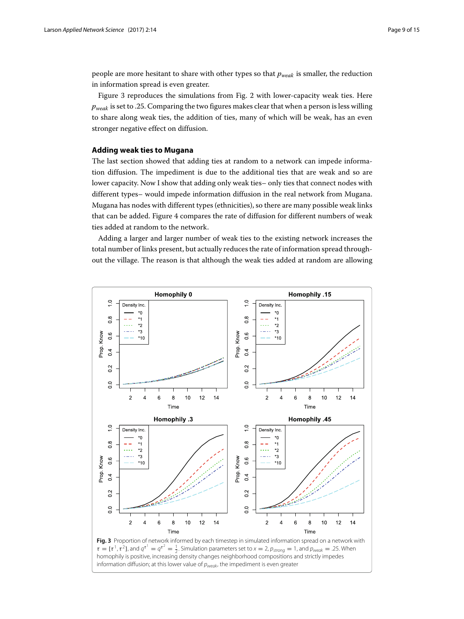people are more hesitant to share with other types so that  $p_{weak}$  is smaller, the reduction in information spread is even greater.

Figure [3](#page-8-0) reproduces the simulations from Fig. [2](#page-7-0) with lower-capacity weak ties. Here *pweak* is set to .25. Comparing the two figures makes clear that when a person is less willing to share along weak ties, the addition of ties, many of which will be weak, has an even stronger negative effect on diffusion.

#### **Adding weak ties to Mugana**

The last section showed that adding ties at random to a network can impede information diffusion. The impediment is due to the additional ties that are weak and so are lower capacity. Now I show that adding only weak ties– only ties that connect nodes with different types– would impede information diffusion in the real network from Mugana. Mugana has nodes with different types (ethnicities), so there are many possible weak links that can be added. Figure [4](#page-9-0) compares the rate of diffusion for different numbers of weak ties added at random to the network.

Adding a larger and larger number of weak ties to the existing network increases the total number of links present, but actually reduces the rate of information spread throughout the village. The reason is that although the weak ties added at random are allowing

<span id="page-8-0"></span>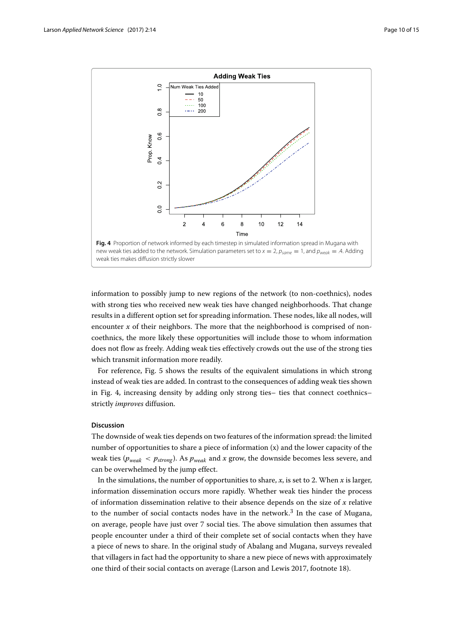

<span id="page-9-0"></span>information to possibly jump to new regions of the network (to non-coethnics), nodes with strong ties who received new weak ties have changed neighborhoods. That change results in a different option set for spreading information. These nodes, like all nodes, will encounter  $x$  of their neighbors. The more that the neighborhood is comprised of noncoethnics, the more likely these opportunities will include those to whom information does not flow as freely. Adding weak ties effectively crowds out the use of the strong ties which transmit information more readily.

For reference, Fig. [5](#page-10-0) shows the results of the equivalent simulations in which strong instead of weak ties are added. In contrast to the consequences of adding weak ties shown in Fig. [4,](#page-9-0) increasing density by adding only strong ties– ties that connect coethnics– strictly *improves* diffusion.

## **Discussion**

The downside of weak ties depends on two features of the information spread: the limited number of opportunities to share a piece of information (x) and the lower capacity of the weak ties ( $p_{weak} < p_{strong}$ ). As  $p_{weak}$  and x grow, the downside becomes less severe, and can be overwhelmed by the jump effect.

In the simulations, the number of opportunities to share, *x*, is set to 2. When *x* is larger, information dissemination occurs more rapidly. Whether weak ties hinder the process of information dissemination relative to their absence depends on the size of *x* relative to the number of social contacts nodes have in the network.<sup>3</sup> In the case of Mugana, on average, people have just over 7 social ties. The above simulation then assumes that people encounter under a third of their complete set of social contacts when they have a piece of news to share. In the original study of Abalang and Mugana, surveys revealed that villagers in fact had the opportunity to share a new piece of news with approximately one third of their social contacts on average (Larson and Lewis [2017,](#page-13-10) footnote 18).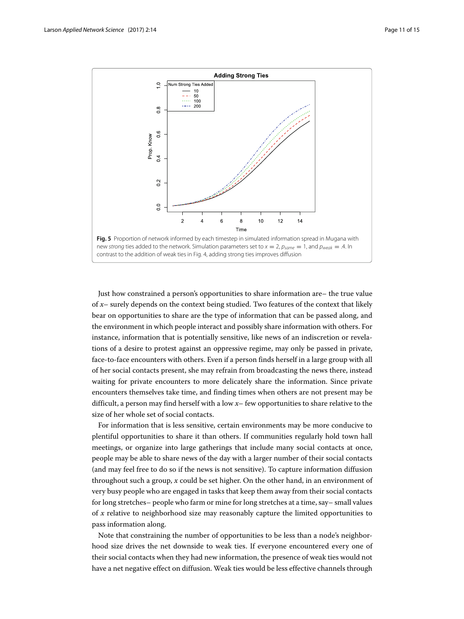

<span id="page-10-0"></span>Just how constrained a person's opportunities to share information are– the true value of *x*– surely depends on the context being studied. Two features of the context that likely bear on opportunities to share are the type of information that can be passed along, and the environment in which people interact and possibly share information with others. For instance, information that is potentially sensitive, like news of an indiscretion or revelations of a desire to protest against an oppressive regime, may only be passed in private, face-to-face encounters with others. Even if a person finds herself in a large group with all of her social contacts present, she may refrain from broadcasting the news there, instead waiting for private encounters to more delicately share the information. Since private encounters themselves take time, and finding times when others are not present may be difficult, a person may find herself with a low *x*– few opportunities to share relative to the size of her whole set of social contacts.

For information that is less sensitive, certain environments may be more conducive to plentiful opportunities to share it than others. If communities regularly hold town hall meetings, or organize into large gatherings that include many social contacts at once, people may be able to share news of the day with a larger number of their social contacts (and may feel free to do so if the news is not sensitive). To capture information diffusion throughout such a group, *x* could be set higher. On the other hand, in an environment of very busy people who are engaged in tasks that keep them away from their social contacts for long stretches– people who farm or mine for long stretches at a time, say– small values of *x* relative to neighborhood size may reasonably capture the limited opportunities to pass information along.

Note that constraining the number of opportunities to be less than a node's neighborhood size drives the net downside to weak ties. If everyone encountered every one of their social contacts when they had new information, the presence of weak ties would not have a net negative effect on diffusion. Weak ties would be less effective channels through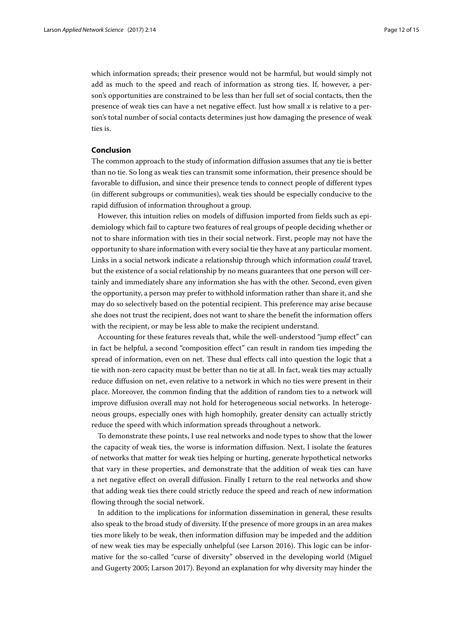which information spreads; their presence would not be harmful, but would simply not add as much to the speed and reach of information as strong ties. If, however, a person's opportunities are constrained to be less than her full set of social contacts, then the presence of weak ties can have a net negative effect. Just how small *x* is relative to a person's total number of social contacts determines just how damaging the presence of weak ties is.

### **Conclusion**

The common approach to the study of information diffusion assumes that any tie is better than no tie. So long as weak ties can transmit some information, their presence should be favorable to diffusion, and since their presence tends to connect people of different types (in different subgroups or communities), weak ties should be especially conducive to the rapid diffusion of information throughout a group.

However, this intuition relies on models of diffusion imported from fields such as epidemiology which fail to capture two features of real groups of people deciding whether or not to share information with ties in their social network. First, people may not have the opportunity to share information with every social tie they have at any particular moment. Links in a social network indicate a relationship through which information *could* travel, but the existence of a social relationship by no means guarantees that one person will certainly and immediately share any information she has with the other. Second, even given the opportunity, a person may prefer to withhold information rather than share it, and she may do so selectively based on the potential recipient. This preference may arise because she does not trust the recipient, does not want to share the benefit the information offers with the recipient, or may be less able to make the recipient understand.

Accounting for these features reveals that, while the well-understood "jump effect" can in fact be helpful, a second "composition effect" can result in random ties impeding the spread of information, even on net. These dual effects call into question the logic that a tie with non-zero capacity must be better than no tie at all. In fact, weak ties may actually reduce diffusion on net, even relative to a network in which no ties were present in their place. Moreover, the common finding that the addition of random ties to a network will improve diffusion overall may not hold for heterogeneous social networks. In heterogeneous groups, especially ones with high homophily, greater density can actually strictly reduce the speed with which information spreads throughout a network.

To demonstrate these points, I use real networks and node types to show that the lower the capacity of weak ties, the worse is information diffusion. Next, I isolate the features of networks that matter for weak ties helping or hurting, generate hypothetical networks that vary in these properties, and demonstrate that the addition of weak ties can have a net negative effect on overall diffusion. Finally I return to the real networks and show that adding weak ties there could strictly reduce the speed and reach of new information flowing through the social network.

In addition to the implications for information dissemination in general, these results also speak to the broad study of diversity. If the presence of more groups in an area makes ties more likely to be weak, then information diffusion may be impeded and the addition of new weak ties may be especially unhelpful (see Larson [2016\)](#page-13-20). This logic can be informative for the so-called "curse of diversity" observed in the developing world (Miguel and Gugerty [2005;](#page-14-15) Larson [2017\)](#page-13-21). Beyond an explanation for why diversity may hinder the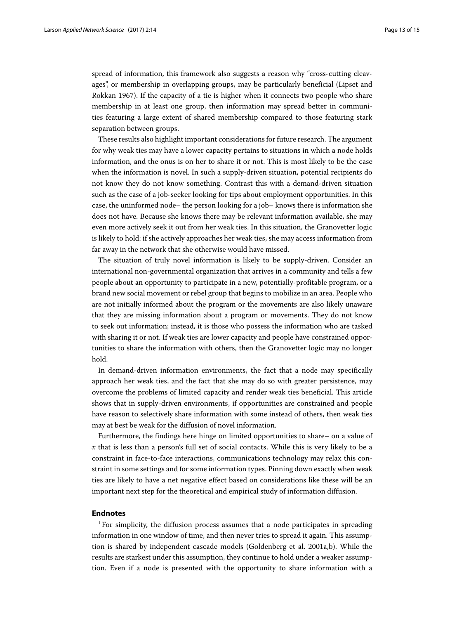spread of information, this framework also suggests a reason why "cross-cutting cleavages", or membership in overlapping groups, may be particularly beneficial (Lipset and Rokkan [1967\)](#page-14-16). If the capacity of a tie is higher when it connects two people who share membership in at least one group, then information may spread better in communities featuring a large extent of shared membership compared to those featuring stark separation between groups.

These results also highlight important considerations for future research. The argument for why weak ties may have a lower capacity pertains to situations in which a node holds information, and the onus is on her to share it or not. This is most likely to be the case when the information is novel. In such a supply-driven situation, potential recipients do not know they do not know something. Contrast this with a demand-driven situation such as the case of a job-seeker looking for tips about employment opportunities. In this case, the uninformed node– the person looking for a job– knows there is information she does not have. Because she knows there may be relevant information available, she may even more actively seek it out from her weak ties. In this situation, the Granovetter logic is likely to hold: if she actively approaches her weak ties, she may access information from far away in the network that she otherwise would have missed.

The situation of truly novel information is likely to be supply-driven. Consider an international non-governmental organization that arrives in a community and tells a few people about an opportunity to participate in a new, potentially-profitable program, or a brand new social movement or rebel group that begins to mobilize in an area. People who are not initially informed about the program or the movements are also likely unaware that they are missing information about a program or movements. They do not know to seek out information; instead, it is those who possess the information who are tasked with sharing it or not. If weak ties are lower capacity and people have constrained opportunities to share the information with others, then the Granovetter logic may no longer hold.

In demand-driven information environments, the fact that a node may specifically approach her weak ties, and the fact that she may do so with greater persistence, may overcome the problems of limited capacity and render weak ties beneficial. This article shows that in supply-driven environments, if opportunities are constrained and people have reason to selectively share information with some instead of others, then weak ties may at best be weak for the diffusion of novel information.

Furthermore, the findings here hinge on limited opportunities to share– on a value of *x* that is less than a person's full set of social contacts. While this is very likely to be a constraint in face-to-face interactions, communications technology may relax this constraint in some settings and for some information types. Pinning down exactly when weak ties are likely to have a net negative effect based on considerations like these will be an important next step for the theoretical and empirical study of information diffusion.

#### **Endnotes**

 $1$  For simplicity, the diffusion process assumes that a node participates in spreading information in one window of time, and then never tries to spread it again. This assumption is shared by independent cascade models (Goldenberg et al. [2001a,](#page-13-14)[b\)](#page-13-15). While the results are starkest under this assumption, they continue to hold under a weaker assumption. Even if a node is presented with the opportunity to share information with a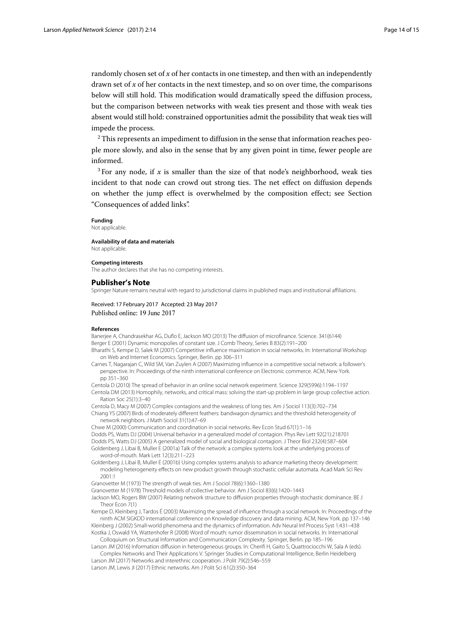randomly chosen set of *x* of her contacts in one timestep, and then with an independently drawn set of *x* of her contacts in the next timestep, and so on over time, the comparisons below will still hold. This modification would dramatically speed the diffusion process, but the comparison between networks with weak ties present and those with weak ties absent would still hold: constrained opportunities admit the possibility that weak ties will impede the process.

<sup>2</sup> This represents an impediment to diffusion in the sense that information reaches people more slowly, and also in the sense that by any given point in time, fewer people are informed.

 $3$  For any node, if  $x$  is smaller than the size of that node's neighborhood, weak ties incident to that node can crowd out strong ties. The net effect on diffusion depends on whether the jump effect is overwhelmed by the composition effect; see Section ["Consequences of added links"](#page-4-1).

#### **Funding**

Not applicable.

#### **Availability of data and materials**

Not applicable.

#### **Competing interests**

The author declares that she has no competing interests.

#### **Publisher's Note**

Springer Nature remains neutral with regard to jurisdictional claims in published maps and institutional affiliations.

#### Received: 17 February 2017 Accepted: 23 May 2017 Published online: 19 June 2017

#### **References**

<span id="page-13-1"></span>Banerjee A, Chandrasekhar AG, Duflo E, Jackson MO (2013) The diffusion of microfinance. Science. 341(6144) Berger E (2001) Dynamic monopolies of constant size. J Comb Theory, Series B 83(2):191–200

<span id="page-13-17"></span><span id="page-13-13"></span>Bharathi S, Kempe D, Salek M (2007) Competitive influence maximization in social networks. In: International Workshop on Web and Internet Economics. Springer, Berlin. pp 306–311

<span id="page-13-16"></span>Carnes T, Nagarajan C, Wild SM, Van Zuylen A (2007) Maximizing influence in a competitive social network: a follower's perspective. In: Proceedings of the ninth international conference on Electronic commerce. ACM, New York. pp 351–360

<span id="page-13-12"></span><span id="page-13-4"></span>Centola D (2010) The spread of behavior in an online social network experiment. Science 329(5996):1194–1197 Centola DM (2013) Homophily, networks, and critical mass: solving the start-up problem in large group collective action. Ration Soc 25(1):3–40

<span id="page-13-3"></span>Centola D, Macy M (2007) Complex contagions and the weakness of long ties. Am J Sociol 113(3):702–734

<span id="page-13-9"></span>Chiang YS (2007) Birds of moderately different feathers: bandwagon dynamics and the threshold heterogeneity of network neighbors. J Math Sociol 31(1):47–69

<span id="page-13-6"></span>Chwe M (2000) Communication and coordination in social networks. Rev Econ Stud 67(1):1–16

- <span id="page-13-7"></span>Dodds PS, Watts DJ (2004) Universal behavior in a generalized model of contagion. Phys Rev Lett 92(21):218701
- <span id="page-13-8"></span>Dodds PS, Watts DJ (2005) A generalized model of social and biological contagion. J Theor Biol 232(4):587–604

<span id="page-13-14"></span>Goldenberg J, Libai B, Muller E (2001a) Talk of the network: a complex systems look at the underlying process of word-of-mouth. Mark Lett 12(3):211–223

<span id="page-13-15"></span>Goldenberg J, Libai B, Muller E (2001b) Using complex systems analysis to advance marketing theory development: modeling heterogeneity effects on new product growth through stochastic cellular automata. Acad Mark Sci Rev 2001:1

<span id="page-13-0"></span>Granovetter M (1973) The strength of weak ties. Am J Sociol 78(6):1360–1380

<span id="page-13-5"></span>Granovetter M (1978) Threshold models of collective behavior. Am J Sociol 83(6):1420–1443

<span id="page-13-2"></span>Jackson MO, Rogers BW (2007) Relating network structure to diffusion properties through stochastic dominance. BE J Theor Econ 7(1)

<span id="page-13-18"></span>Kempe D, Kleinberg J, Tardos É (2003) Maximizing the spread of influence through a social network. In: Proceedings of the ninth ACM SIGKDD international conference on Knowledge discovery and data mining. ACM, New York. pp 137–146 Kleinberg J (2002) Small-world phenomena and the dynamics of information. Adv Neural Inf Process Syst 1:431–438

<span id="page-13-19"></span><span id="page-13-11"></span>Kostka J, Oswald YA, Wattenhofer R (2008) Word of mouth: rumor dissemination in social networks. In: International Colloquium on Structural Information and Communication Complexity. Springer, Berlin. pp 185–196

<span id="page-13-20"></span>Larson JM (2016) Information diffusion in heterogeneous groups. In: Cherifi H, Gaito S, Quattrociocchi W, Sala A (eds). Complex Networks and Their Applications V. Springer Studies in Computational Intelligence, Berlin Heidelberg Larson JM (2017) Networks and interethnic cooperation. J Polit 79(2):546–559

<span id="page-13-21"></span><span id="page-13-10"></span>Larson JM, Lewis JI (2017) Ethnic networks. Am J Polit Sci 61(2):350–364